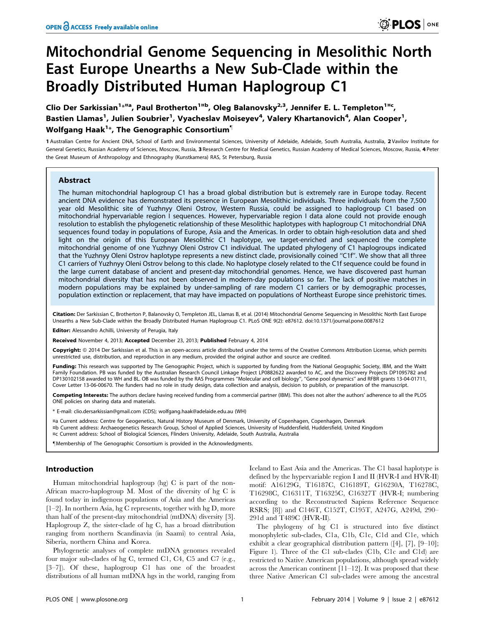# Mitochondrial Genome Sequencing in Mesolithic North East Europe Unearths a New Sub-Clade within the Broadly Distributed Human Haplogroup C1

Clio Der Sarkissian<sup>1</sup>\*<sup>¤a</sup>, Paul Brotherton<sup>1¤b</sup>, Oleg Balanovsky<sup>2,3</sup>, Jennifer E. L. Templeton<sup>1¤c</sup>, Bastien Llamas<sup>1</sup>, Julien Soubrier<sup>1</sup>, Vyacheslav Moiseyev<sup>4</sup>, Valery Khartanovich<sup>4</sup>, Alan Cooper<sup>1</sup>, Wolfgang Haak $^{1\ast}$ , The Genographic Consortium $^{\P}$ 

1 Australian Centre for Ancient DNA, School of Earth and Environmental Sciences, University of Adelaide, Adelaide, South Australia, Australia, 2 Vavilov Institute for General Genetics, Russian Academy of Sciences, Moscow, Russia, 3 Research Centre for Medical Genetics, Russian Academy of Medical Sciences, Moscow, Russia, 4 Peter the Great Museum of Anthropology and Ethnography (Kunstkamera) RAS, St Petersburg, Russia

## Abstract

The human mitochondrial haplogroup C1 has a broad global distribution but is extremely rare in Europe today. Recent ancient DNA evidence has demonstrated its presence in European Mesolithic individuals. Three individuals from the 7,500 year old Mesolithic site of Yuzhnyy Oleni Ostrov, Western Russia, could be assigned to haplogroup C1 based on mitochondrial hypervariable region I sequences. However, hypervariable region I data alone could not provide enough resolution to establish the phylogenetic relationship of these Mesolithic haplotypes with haplogroup C1 mitochondrial DNA sequences found today in populations of Europe, Asia and the Americas. In order to obtain high-resolution data and shed light on the origin of this European Mesolithic C1 haplotype, we target-enriched and sequenced the complete mitochondrial genome of one Yuzhnyy Oleni Ostrov C1 individual. The updated phylogeny of C1 haplogroups indicated that the Yuzhnyy Oleni Ostrov haplotype represents a new distinct clade, provisionally coined ''C1f''. We show that all three C1 carriers of Yuzhnyy Oleni Ostrov belong to this clade. No haplotype closely related to the C1f sequence could be found in the large current database of ancient and present-day mitochondrial genomes. Hence, we have discovered past human mitochondrial diversity that has not been observed in modern-day populations so far. The lack of positive matches in modern populations may be explained by under-sampling of rare modern C1 carriers or by demographic processes, population extinction or replacement, that may have impacted on populations of Northeast Europe since prehistoric times.

Citation: Der Sarkissian C, Brotherton P, Balanovsky O, Templeton JEL, Llamas B, et al. (2014) Mitochondrial Genome Sequencing in Mesolithic North East Europe Unearths a New Sub-Clade within the Broadly Distributed Human Haplogroup C1. PLoS ONE 9(2): e87612. doi:10.1371/journal.pone.0087612

Editor: Alessandro Achilli, University of Perugia, Italy

Received November 4, 2013; Accepted December 23, 2013; Published February 4, 2014

**Copyright:** © 2014 Der Sarkissian et al. This is an open-access article distributed under the terms of the [Creative Commons Attribution License](http://creativecommons.org/licenses/by/4.0/legalcode), which permits unrestricted use, distribution, and reproduction in any medium, provided the original author and source are credited.

Funding: This research was supported by The Genographic Project, which is supported by funding from the National Geographic Society, IBM, and the Waitt Family Foundation. PB was funded by the Australian Research Council Linkage Project LP0882622 awarded to AC, and the Discovery Projects DP1095782 and DP130102158 awarded to WH and BL. OB was funded by the RAS Programmes ''Molecular and cell biology'', ''Gene pool dynamics'' and RFBR grants 13-04-01711, Cover Letter 13-06-00670. The funders had no role in study design, data collection and analysis, decision to publish, or preparation of the manuscript.

Competing Interests: The authors declare having received funding from a commercial partner (IBM). This does not alter the authors' adherence to all the PLOS ONE policies on sharing data and materials.

\* E-mail: clio.dersarkissian@gmail.com (CDS); wolfgang.haak@adelaide.edu.au (WH)

¤a Current address: Centre for Geogenetics, Natural History Museum of Denmark, University of Copenhagen, Copenhagen, Denmark ¤b Current address: Archaeogenetics Research Group, School of Applied Sciences, University of Huddersfield, Huddersfield, United Kingdom ¤c Current address: School of Biological Sciences, Flinders University, Adelaide, South Australia, Australia

"Membership of The Genographic Consortium is provided in the Acknowledgments.

## Introduction

Human mitochondrial haplogroup (hg) C is part of the non-African macro-haplogroup M. Most of the diversity of hg C is found today in indigenous populations of Asia and the Americas [1–2]. In northern Asia, hg C represents, together with hg D, more than half of the present-day mitochondrial (mtDNA) diversity [3]. Haplogroup Z, the sister-clade of hg C, has a broad distribution ranging from northern Scandinavia (in Saami) to central Asia, Siberia, northern China and Korea.

Phylogenetic analyses of complete mtDNA genomes revealed four major sub-clades of hg C, termed C1, C4, C5 and C7 (e.g., [3–7]). Of these, haplogroup C1 has one of the broadest distributions of all human mtDNA hgs in the world, ranging from

Iceland to East Asia and the Americas. The C1 basal haplotype is defined by the hypervariable region I and II (HVR-I and HVR-II) motif: A16129G, T16187C, C16189T, G16230A, T16278C, T16298C, C16311T, T16325C, C16327T (HVR-I; numbering according to the Reconstructed Sapiens Reference Sequence RSRS; [8]) and C146T, C152T, C195T, A247G, A249d, 290– 291d and T489C (HVR-II).

The phylogeny of hg C1 is structured into five distinct monophyletic sub-clades, C1a, C1b, C1c, C1d and C1e, which exhibit a clear geographical distribution pattern ([4], [7], [9–10]; Figure 1). Three of the C1 sub-clades (C1b, C1c and C1d) are restricted to Native American populations, although spread widely across the American continent [11–12]. It was proposed that these three Native American C1 sub-clades were among the ancestral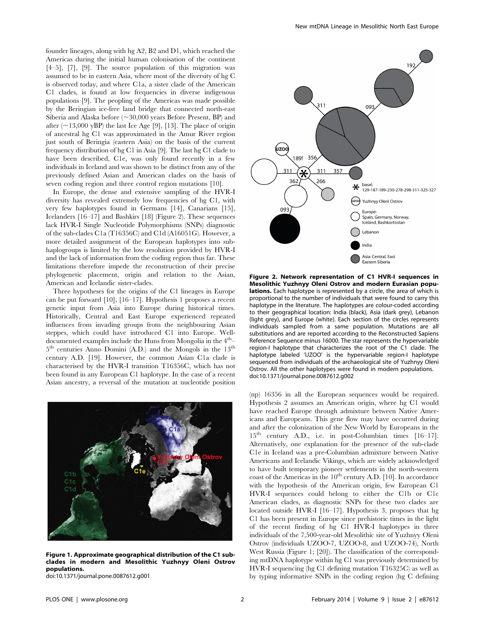founder lineages, along with hg A2, B2 and D1, which reached the Americas during the initial human colonisation of the continent [4–5], [7], [9]. The source population of this migration was assumed to be in eastern Asia, where most of the diversity of hg C is observed today, and where C1a, a sister clade of the American C1 clades, is found at low frequencies in diverse indigenous populations [9]. The peopling of the Americas was made possible by the Beringian ice-free land bridge that connected north-east Siberia and Alaska before  $(\sim 30,000$  years Before Present, BP) and after  $(\sim13,000 \text{ yBP})$  the last Ice Age [9], [13]. The place of origin of ancestral hg C1 was approximated in the Amur River region just south of Beringia (eastern Asia) on the basis of the current frequency distribution of hg C1 in Asia [9]. The last hg C1 clade to have been described, C1e, was only found recently in a few individuals in Iceland and was shown to be distinct from any of the previously defined Asian and American clades on the basis of seven coding region and three control region mutations [10].

In Europe, the dense and extensive sampling of the HVR-I diversity has revealed extremely low frequencies of hg C1, with very few haplotypes found in Germans [14], Canarians [15], Icelanders [16–17] and Bashkirs [18] (Figure 2). These sequences lack HVR-I Single Nucleotide Polymorphisms (SNPs) diagnostic of the sub-clades C1a (T16356C) and C1d (A16051G). However, a more detailed assignment of the European haplotypes into subhaplogroups is limited by the low resolution provided by HVR-I and the lack of information from the coding region thus far. These limitations therefore impede the reconstruction of their precise phylogenetic placement, origin and relation to the Asian, American and Icelandic sister-clades.

Three hypotheses for the origins of the C1 lineages in Europe can be put forward [10], [16–17]. Hypothesis 1 proposes a recent genetic input from Asia into Europe during historical times. Historically, Central and East Europe experienced repeated influences from invading groups from the neighbouring Asian steppes, which could have introduced C1 into Europe. Welldocumented examples include the Huns from Mongolia in the  $4^{\text{th}}-$ 5<sup>th</sup> centuries Anno Domini (A.D.) and the Mongols in the 13<sup>th</sup> century A.D. [19]. However, the common Asian C1a clade is characterised by the HVR-I transition T16356C, which has not been found in any European C1 haplotype. In the case of a recent Asian ancestry, a reversal of the mutation at nucleotide position



Figure 1. Approximate geographical distribution of the C1 subclades in modern and Mesolithic Yuzhnyy Oleni Ostrov populations. doi:10.1371/journal.pone.0087612.g001



Figure 2. Network representation of C1 HVR-I sequences in Mesolithic Yuzhnyy Oleni Ostrov and modern Eurasian populations. Each haplotype is represented by a circle, the area of which is proportional to the number of individuals that were found to carry this haplotype in the literature. The haplotypes are colour-coded according to their geographical location: India (black), Asia (dark grey), Lebanon (light grey), and Europe (white). Each section of the circles represents individuals sampled from a same population. Mutations are all substitutions and are reported according to the Reconstructed Sapiens Reference Sequence minus 16000. The star represents the hypervariable region-I haplotype that characterizes the root of the C1 clade. The haplotype labeled 'UZOO' is the hypervariable region-I haplotype sequenced from individuals of the archaeological site of Yuzhnyy Oleni Ostrov. All the other haplotypes were found in modern populations. doi:10.1371/journal.pone.0087612.g002

(np) 16356 in all the European sequences would be required. Hypothesis 2 assumes an American origin, where hg C1 would have reached Europe through admixture between Native Americans and Europeans. This gene flow may have occurred during and after the colonization of the New World by Europeans in the 15<sup>th</sup> century A.D., i.e. in post-Columbian times [16–17]. Alternatively, one explanation for the presence of the sub-clade C1e in Iceland was a pre-Columbian admixture between Native Americans and Icelandic Vikings, which are widely acknowledged to have built temporary pioneer settlements in the north-western coast of the Americas in the  $10^{th}$  century A.D. [10]. In accordance with the hypothesis of the American origin, few European C1 HVR-I sequences could belong to either the C1b or C1c American clades, as diagnostic SNPs for these two clades are located outside HVR-I [16–17]. Hypothesis 3, proposes that hg C1 has been present in Europe since prehistoric times in the light of the recent finding of hg C1 HVR-I haplotypes in three individuals of the 7,500-year-old Mesolithic site of Yuzhnyy Oleni Ostrov (individuals UZOO-7, UZOO-8, and UZOO-74), North West Russia (Figure 1; [20]). The classification of the corresponding mtDNA haplotype within hg C1 was previously determined by HVR-I sequencing (hg C1 defining mutation T16325C) as well as by typing informative SNPs in the coding region (hg C defining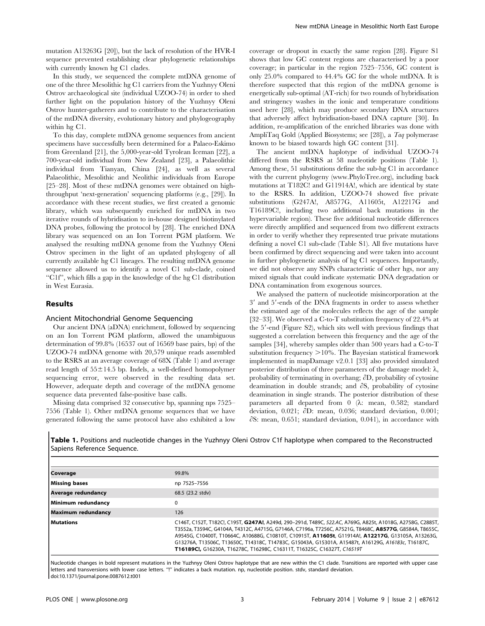mutation A13263G [20]), but the lack of resolution of the HVR-I sequence prevented establishing clear phylogenetic relationships with currently known hg C1 clades.

In this study, we sequenced the complete mtDNA genome of one of the three Mesolithic hg C1 carriers from the Yuzhnyy Oleni Ostrov archaeological site (individual UZOO-74) in order to shed further light on the population history of the Yuzhnyy Oleni Ostrov hunter-gatherers and to contribute to the characterisation of the mtDNA diversity, evolutionary history and phylogeography within hg C1.

To this day, complete mtDNA genome sequences from ancient specimens have successfully been determined for a Palaeo-Eskimo from Greenland [21], the 5,000-year-old Tyrolean Iceman [22], a 700-year-old individual from New Zealand [23], a Palaeolithic individual from Tianyan, China [24], as well as several Palaeolithic, Mesolithic and Neolithic individuals from Europe [25–28]. Most of these mtDNA genomes were obtained on highthroughput 'next-generation' sequencing platforms (e.g., [29]). In accordance with these recent studies, we first created a genomic library, which was subsequently enriched for mtDNA in two iterative rounds of hybridisation to in-house designed biotinylated DNA probes, following the protocol by [28]. The enriched DNA library was sequenced on an Ion Torrent PGM platform. We analysed the resulting mtDNA genome from the Yuzhnyy Oleni Ostrov specimen in the light of an updated phylogeny of all currently available hg C1 lineages. The resulting mtDNA genome sequence allowed us to identify a novel C1 sub-clade, coined ''C1f'', which fills a gap in the knowledge of the hg C1 distribution in West Eurasia.

#### Results

#### Ancient Mitochondrial Genome Sequencing

Our ancient DNA (aDNA) enrichment, followed by sequencing on an Ion Torrent PGM platform, allowed the unambiguous determination of 99.8% (16537 out of 16569 base pairs, bp) of the UZOO-74 mtDNA genome with 20,579 unique reads assembled to the RSRS at an average coverage of 68X (Table 1) and average read length of  $55\pm14.5$  bp. Indels, a well-defined homopolymer sequencing error, were observed in the resulting data set. However, adequate depth and coverage of the mtDNA genome sequence data prevented false-positive base calls.

Missing data comprised 32 consecutive bp, spanning nps 7525– 7556 (Table 1). Other mtDNA genome sequences that we have generated following the same protocol have also exhibited a low coverage or dropout in exactly the same region [28]. Figure S1 shows that low GC content regions are characterised by a poor coverage; in particular in the region 7525–7556, GC content is only 25.0% compared to 44.4% GC for the whole mtDNA. It is therefore suspected that this region of the mtDNA genome is energetically sub-optimal (AT-rich) for two rounds of hybridisation and stringency washes in the ionic and temperature conditions used here [28], which may produce secondary DNA structures that adversely affect hybridisation-based DNA capture [30]. In addition, re-amplification of the enriched libraries was done with AmpliTaq Gold (Applied Biosystems; see [28]), a Taq polymerase known to be biased towards high GC content [31].

The ancient mtDNA haplotype of individual UZOO-74 differed from the RSRS at 58 nucleotide positions (Table 1). Among these, 51 substitutions define the sub-hg C1 in accordance with the current phylogeny (www.PhyloTree.org), including back mutations at T182C! and G11914A!, which are identical by state to the RSRS. In addition, UZOO-74 showed five private substitutions (G247A!, A8577G, A11605t, A12217G and T16189C!, including two additional back mutations in the hypervariable region). These five additional nucleotide differences were directly amplified and sequenced from two different extracts in order to verify whether they represented true private mutations defining a novel C1 sub-clade (Table S1). All five mutations have been confirmed by direct sequencing and were taken into account in further phylogenetic analysis of hg C1 sequences. Importantly, we did not observe any SNPs characteristic of other hgs, nor any mixed signals that could indicate systematic DNA degradation or DNA contamination from exogenous sources.

We analysed the pattern of nucleotide misincorporation at the 3' and 5'-ends of the DNA fragments in order to assess whether the estimated age of the molecules reflects the age of the sample [32–33]. We observed a C-to-T substitution frequency of 22.4% at the 5'-end (Figure S2), which sits well with previous findings that suggested a correlation between this frequency and the age of the samples [34], whereby samples older than 500 years had a C-to-T substitution frequency  $>10\%$ . The Bayesian statistical framework implemented in mapDamage v2.0.1 [33] also provided simulated posterior distribution of three parameters of the damage model:  $\lambda$ , probability of terminating in overhang;  $\partial D$ , probability of cytosine deamination in double strands; and  $\partial S$ , probability of cytosine deamination in single strands. The posterior distribution of these parameters all departed from 0  $(\lambda)$ : mean, 0.582; standard deviation,  $0.021$ ;  $\partial D$ : mean,  $0.036$ ; standard deviation,  $0.001$ ;  $\partial$ S: mean, 0.651; standard deviation, 0.041), in accordance with

Table 1. Positions and nucleotide changes in the Yuzhnyy Oleni Ostrov C1f haplotype when compared to the Reconstructed Sapiens Reference Sequence.

| Coverage           | 99.8%                                                                                                                                                                                                                                                                                                                                                                                                                                                                                                        |
|--------------------|--------------------------------------------------------------------------------------------------------------------------------------------------------------------------------------------------------------------------------------------------------------------------------------------------------------------------------------------------------------------------------------------------------------------------------------------------------------------------------------------------------------|
| Missing bases      | np 7525-7556                                                                                                                                                                                                                                                                                                                                                                                                                                                                                                 |
| Average redundancy | 68.5 (23.2 stdv)                                                                                                                                                                                                                                                                                                                                                                                                                                                                                             |
| Minimum redundancy | 0                                                                                                                                                                                                                                                                                                                                                                                                                                                                                                            |
| Maximum redundancy | 126                                                                                                                                                                                                                                                                                                                                                                                                                                                                                                          |
| l Mutations        | C146T, C152T, T182C!, C195T, G247AI, A249d, 290-291d, T489C, 522.AC, A769G, A825t, A1018G, A2758G, C2885T,<br>T3552a, T3594C, G4104A, T4312C, A4715G, G7146A, C7196a, T7256C, A7521G, T8468C, A8577G, G8584A, T8655C,<br>A9545G, C10400T, T10664C, A10688G, C10810T, C10915T, A11605t, G11914A!, A12217G, G13105A, A13263G,<br>G13276A, T13506C, T13650C, T14318C, T14783C, G15043A, G15301A, A15487t, A16129G, A16183c, T16187C,<br>T16189C!, G16230A, T16278C, T16298C, C16311T, T16325C, C16327T, C16519T |

Nucleotide changes in bold represent mutations in the Yuzhnyy Oleni Ostrov haplotype that are new within the C1 clade. Transitions are reported with upper case letters and transversions with lower case letters. ''!'' indicates a back mutation. np, nucleotide position. stdv, standard deviation. doi:10.1371/journal.pone.0087612.t001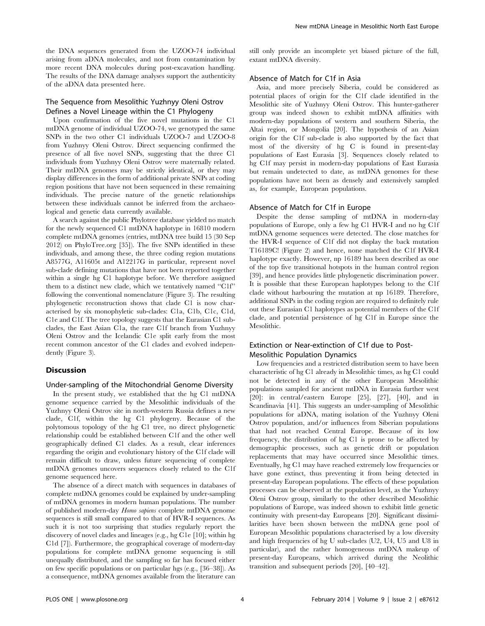the DNA sequences generated from the UZOO-74 individual arising from aDNA molecules, and not from contamination by more recent DNA molecules during post-excavation handling. The results of the DNA damage analyses support the authenticity of the aDNA data presented here.

# The Sequence from Mesolithic Yuzhnyy Oleni Ostrov Defines a Novel Lineage within the C1 Phylogeny

Upon confirmation of the five novel mutations in the C1 mtDNA genome of individual UZOO-74, we genotyped the same SNPs in the two other C1 individuals UZOO-7 and UZOO-8 from Yuzhnyy Oleni Ostrov. Direct sequencing confirmed the presence of all five novel SNPs, suggesting that the three C1 individuals from Yuzhnyy Oleni Ostrov were maternally related. Their mtDNA genomes may be strictly identical, or they may display differences in the form of additional private SNPs at coding region positions that have not been sequenced in these remaining individuals. The precise nature of the genetic relationships between these individuals cannot be inferred from the archaeological and genetic data currently available.

A search against the public Phylotree database yielded no match for the newly sequenced C1 mtDNA haplotype in 16810 modern complete mtDNA genomes (entries, mtDNA tree build 15 (30 Sep 2012) on PhyloTree.org [35]). The five SNPs identified in these individuals, and among these, the three coding region mutations A8577G, A11605t and A12217G in particular, represent novel sub-clade defining mutations that have not been reported together within a single hg C1 haplotype before. We therefore assigned them to a distinct new clade, which we tentatively named ''C1f'' following the conventional nomenclature (Figure 3). The resulting phylogenetic reconstruction shows that clade C1 is now characterised by six monophyletic sub-clades: C1a, C1b, C1c, C1d, C1e and C1f. The tree topology suggests that the Eurasian C1 subclades, the East Asian C1a, the rare C1f branch from Yuzhnyy Oleni Ostrov and the Icelandic C1e split early from the most recent common ancestor of the C1 clades and evolved independently (Figure 3).

## **Discussion**

#### Under-sampling of the Mitochondrial Genome Diversity

In the present study, we established that the hg C1 mtDNA genome sequence carried by the Mesolithic individuals of the Yuzhnyy Oleni Ostrov site in north-western Russia defines a new clade, C1f, within the hg C1 phylogeny. Because of the polytomous topology of the hg C1 tree, no direct phylogenetic relationship could be established between C1f and the other well geographically defined C1 clades. As a result, clear inferences regarding the origin and evolutionary history of the C1f clade will remain difficult to draw, unless future sequencing of complete mtDNA genomes uncovers sequences closely related to the C1f genome sequenced here.

The absence of a direct match with sequences in databases of complete mtDNA genomes could be explained by under-sampling of mtDNA genomes in modern human populations. The number of published modern-day Homo sapiens complete mtDNA genome sequences is still small compared to that of HVR-I sequences. As such it is not too surprising that studies regularly report the discovery of novel clades and lineages (e.g., hg C1e [10]; within hg C1d [7]). Furthermore, the geographical coverage of modern-day populations for complete mtDNA genome sequencing is still unequally distributed, and the sampling so far has focused either on few specific populations or on particular hgs (e.g., [36–38]). As a consequence, mtDNA genomes available from the literature can still only provide an incomplete yet biased picture of the full, extant mtDNA diversity.

#### Absence of Match for C1f in Asia

Asia, and more precisely Siberia, could be considered as potential places of origin for the C1f clade identified in the Mesolithic site of Yuzhnyy Oleni Ostrov. This hunter-gatherer group was indeed shown to exhibit mtDNA affinities with modern-day populations of western and southern Siberia, the Altai region, or Mongolia [20]. The hypothesis of an Asian origin for the C1f sub-clade is also supported by the fact that most of the diversity of hg C is found in present-day populations of East Eurasia [3]. Sequences closely related to hg C1f may persist in modern-day populations of East Eurasia but remain undetected to date, as mtDNA genomes for these populations have not been as densely and extensively sampled as, for example, European populations.

#### Absence of Match for C1f in Europe

Despite the dense sampling of mtDNA in modern-day populations of Europe, only a few hg C1 HVR-I and no hg C1f mtDNA genome sequences were detected. The close matches for the HVR-I sequence of C1f did not display the back mutation T16189C! (Figure 2) and hence, none matched the C1f HVR-I haplotype exactly. However, np 16189 has been described as one of the top five transitional hotspots in the human control region [39], and hence provides little phylogenetic discrimination power. It is possible that these European haplotypes belong to the C1f clade without harbouring the mutation at np 16189. Therefore, additional SNPs in the coding region are required to definitely rule out these Eurasian C1 haplotypes as potential members of the C1f clade, and potential persistence of hg C1f in Europe since the Mesolithic.

# Extinction or Near-extinction of C1f due to Post-Mesolithic Population Dynamics

Low frequencies and a restricted distribution seem to have been characteristic of hg C1 already in Mesolithic times, as hg C1 could not be detected in any of the other European Mesolithic populations sampled for ancient mtDNA in Eurasia further west [20]: in central/eastern Europe [25], [27], [40], and in Scandinavia [41]. This suggests an under-sampling of Mesolithic populations for aDNA, mating isolation of the Yuzhnyy Oleni Ostrov population, and/or influences from Siberian populations that had not reached Central Europe. Because of its low frequency, the distribution of hg C1 is prone to be affected by demographic processes, such as genetic drift or population replacements that may have occurred since Mesolithic times. Eventually, hg C1 may have reached extremely low frequencies or have gone extinct, thus preventing it from being detected in present-day European populations. The effects of these population processes can be observed at the population level, as the Yuzhnyy Oleni Ostrov group, similarly to the other described Mesolithic populations of Europe, was indeed shown to exhibit little genetic continuity with present-day Europeans [20]. Significant dissimilarities have been shown between the mtDNA gene pool of European Mesolithic populations characterised by a low diversity and high frequencies of hg U sub-clades (U2, U4, U5 and U8 in particular), and the rather homogeneous mtDNA makeup of present-day Europeans, which arrived during the Neolithic transition and subsequent periods [20], [40–42].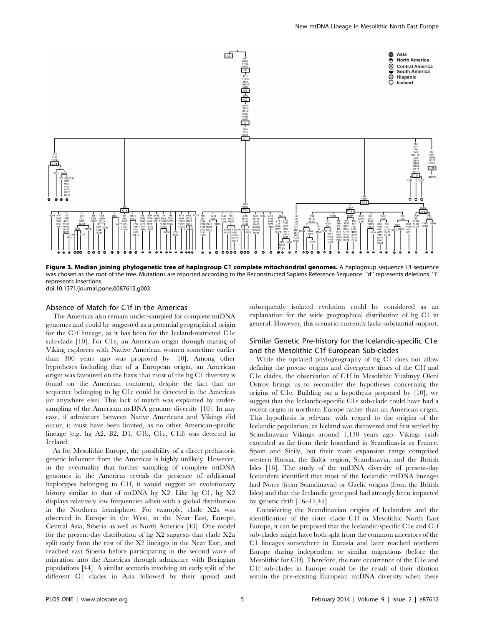

Figure 3. Median joining phylogenetic tree of haplogroup C1 complete mitochondrial genomes. A haplogroup sequence L3 sequence was chosen as the root of the tree. Mutations are reported according to the Reconstructed Sapiens Reference Sequence. "d" represents deletions. "i" represents insertions.

doi:10.1371/journal.pone.0087612.g003

## Absence of Match for C1f in the Americas

The Americas also remain under-sampled for complete mtDNA genomes and could be suggested as a potential geographical origin for the C1f lineage, as it has been for the Iceland-restricted C1e sub-clade [10]. For C1e, an American origin through mating of Viking explorers with Native American women sometime earlier than 300 years ago was proposed by [10]. Among other hypotheses including that of a European origin, an American origin was favoured on the basis that most of the hg C1 diversity is found on the American continent, despite the fact that no sequence belonging to hg C1e could be detected in the Americas (or anywhere else). This lack of match was explained by undersampling of the American mtDNA genome diversity [10]. In any case, if admixture between Native Americans and Vikings did occur, it must have been limited, as no other American-specific lineage (e.g. hg A2, B2, D1, C1b, C1c, C1d) was detected in Iceland.

As for Mesolithic Europe, the possibility of a direct prehistoric genetic influence from the Americas is highly unlikely. However, in the eventuality that further sampling of complete mtDNA genomes in the Americas reveals the presence of additional haplotypes belonging to C1f, it would suggest an evolutionary history similar to that of mtDNA hg X2. Like hg C1, hg X2 displays relatively low frequencies albeit with a global distribution in the Northern hemisphere. For example, clade X2a was observed in Europe in the West, in the Near East, Europe, Central Asia, Siberia as well as North America [43]. One model for the present-day distribution of hg X2 suggests that clade X2a split early from the rest of the X2 lineages in the Near East, and reached east Siberia before participating in the second wave of migration into the Americas through admixture with Beringian populations [44]. A similar scenario involving an early split of the different C1 clades in Asia followed by their spread and subsequently isolated evolution could be considered as an explanation for the wide geographical distribution of hg C1 in general. However, this scenario currently lacks substantial support.

# Similar Genetic Pre-history for the Icelandic-specific C1e and the Mesolithic C1f European Sub-clades

While the updated phylogeography of hg C1 does not allow defining the precise origins and divergence times of the C1f and C1e clades, the observation of C1f in Mesolithic Yuzhnyy Oleni Ostrov brings us to reconsider the hypotheses concerning the origins of C1e. Building on a hypothesis proposed by [10], we suggest that the Icelandic-specific C1e sub-clade could have had a recent origin in northern Europe rather than an American origin. This hypothesis is relevant with regard to the origins of the Icelandic population, as Iceland was discovered and first settled by Scandinavian Vikings around 1,130 years ago. Vikings raids extended as far from their homeland in Scandinavia as France, Spain and Sicily, but their main expansion range comprised western Russia, the Baltic region, Scandinavia, and the British Isles [16]. The study of the mtDNA diversity of present-day Icelanders identified that most of the Icelandic mtDNA lineages had Norse (from Scandinavia) or Gaelic origins (from the British Isles) and that the Icelandic gene pool had strongly been impacted by genetic drift  $[16–17,45]$ .

Considering the Scandinavian origins of Icelanders and the identification of the sister clade C1f in Mesolithic North East Europe, it can be proposed that the Icelandic-specific C1e and C1f sub-clades might have both split from the common ancestors of the C1 lineages somewhere in Eurasia and later reached northern Europe during independent or similar migrations (before the Mesolithic for C1f). Therefore, the rare occurrence of the C1e and C1f sub-clades in Europe could be the result of their dilution within the pre-existing European mtDNA diversity when these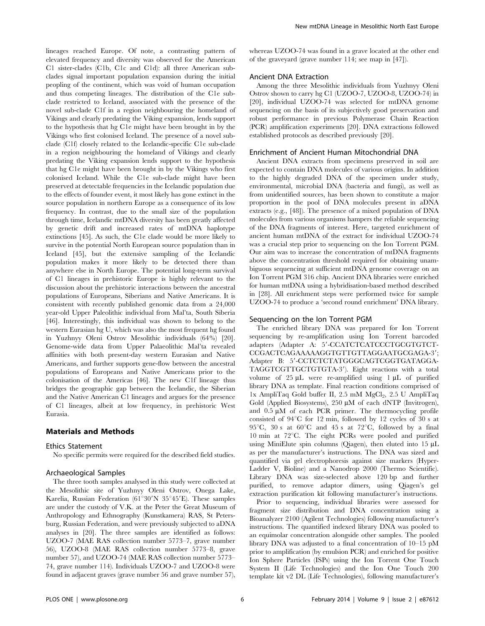lineages reached Europe. Of note, a contrasting pattern of elevated frequency and diversity was observed for the American C1 sister-clades (C1b, C1c and C1d): all three American subclades signal important population expansion during the initial peopling of the continent, which was void of human occupation and thus competing lineages. The distribution of the C1e subclade restricted to Iceland, associated with the presence of the novel sub-clade C1f in a region neighbouring the homeland of Vikings and clearly predating the Viking expansion, lends support to the hypothesis that hg C1e might have been brought in by the Vikings who first colonised Iceland. The presence of a novel subclade (C1f) closely related to the Icelandic-specific C1e sub-clade in a region neighbouring the homeland of Vikings and clearly predating the Viking expansion lends support to the hypothesis that hg C1e might have been brought in by the Vikings who first colonised Iceland. While the C1e sub-clade might have been preserved at detectable frequencies in the Icelandic population due to the effects of founder event, it most likely has gone extinct in the source population in northern Europe as a consequence of its low frequency. In contrast, due to the small size of the population through time, Icelandic mtDNA diversity has been greatly affected by genetic drift and increased rates of mtDNA haplotype extinctions [45]. As such, the C1e clade would be more likely to survive in the potential North European source population than in Iceland [45], but the extensive sampling of the Icelandic population makes it more likely to be detected there than anywhere else in North Europe. The potential long-term survival of C1 lineages in prehistoric Europe is highly relevant to the discussion about the prehistoric interactions between the ancestral populations of Europeans, Siberians and Native Americans. It is consistent with recently published genomic data from a 24,000 year-old Upper Paleolithic individual from Mal'ta, South Siberia [46]. Interestingly, this individual was shown to belong to the western Eurasian hg U, which was also the most frequent hg found in Yuzhnyy Oleni Ostrov Mesolithic individuals (64%) [20]. Genome-wide data from Upper Palaeolithic Mal'ta revealed affinities with both present-day western Eurasian and Native Americans, and further supports gene-flow between the ancestral populations of Europeans and Native Americans prior to the colonisation of the Americas [46]. The new C1f lineage thus bridges the geographic gap between the Icelandic, the Siberian and the Native American C1 lineages and argues for the presence of C1 lineages, albeit at low frequency, in prehistoric West Eurasia.

## Materials and Methods

#### Ethics Statement

No specific permits were required for the described field studies.

#### Archaeological Samples

The three tooth samples analysed in this study were collected at the Mesolithic site of Yuzhnyy Oleni Ostrov, Onega Lake, Karelia, Russian Federation (61°30'N 35°45'E). These samples are under the custody of V.K. at the Peter the Great Museum of Anthropology and Ethnography (Kunstkamera) RAS, St Petersburg, Russian Federation, and were previously subjected to aDNA analyses in [20]. The three samples are identified as follows: UZOO-7 (MAE RAS collection number 5773–7, grave number 56), UZOO-8 (MAE RAS collection number 5773–8, grave number 57), and UZOO-74 (MAE RAS collection number 5773– 74, grave number 114). Individuals UZOO-7 and UZOO-8 were found in adjacent graves (grave number 56 and grave number 57), whereas UZOO-74 was found in a grave located at the other end of the graveyard (grave number 114; see map in [47]).

#### Ancient DNA Extraction

Among the three Mesolithic individuals from Yuzhnyy Oleni Ostrov shown to carry hg C1 (UZOO-7, UZOO-8, UZOO-74) in [20], individual UZOO-74 was selected for mtDNA genome sequencing on the basis of its subjectively good preservation and robust performance in previous Polymerase Chain Reaction (PCR) amplification experiments [20]. DNA extractions followed established protocols as described previously [20].

#### Enrichment of Ancient Human Mitochondrial DNA

Ancient DNA extracts from specimens preserved in soil are expected to contain DNA molecules of various origins. In addition to the highly degraded DNA of the specimen under study, environmental, microbial DNA (bacteria and fungi), as well as from unidentified sources, has been shown to constitute a major proportion in the pool of DNA molecules present in aDNA extracts (e.g., [48]). The presence of a mixed population of DNA molecules from various organisms hampers the reliable sequencing of the DNA fragments of interest. Here, targeted enrichment of ancient human mtDNA of the extract for individual UZOO-74 was a crucial step prior to sequencing on the Ion Torrent PGM. Our aim was to increase the concentration of mtDNA fragments above the concentration threshold required for obtaining unambiguous sequencing at sufficient mtDNA genome coverage on an Ion Torrent PGM 316 chip. Ancient DNA libraries were enriched for human mtDNA using a hybridisation-based method described in [28]. All enrichment steps were performed twice for sample UZOO-74 to produce a 'second round enrichment' DNA library.

#### Sequencing on the Ion Torrent PGM

The enriched library DNA was prepared for Ion Torrent sequencing by re-amplification using Ion Torrent barcoded adapters (Adapter A: 5'-CCATCTCATCCCTGCGTGTCT-CCGACTCAGAAAAAGGTGTTGTTAGGAATGCGAGA-3'; Adapter B: 5'-CCTCTCTATGGGCAGTCGGTGATAGGA-TAGGTCGTTGCTGTGTA-3'). Eight reactions with a total volume of  $25 \mu L$  were re-amplified using  $1 \mu L$  of purified library DNA as template. Final reaction conditions comprised of 1x AmpliTaq Gold buffer II, 2.5 mM  $MgCl<sub>2</sub>$ , 2.5 U AmpliTaq Gold (Applied Biosystems),  $250 \mu M$  of each dNTP (Invitrogen), and  $0.5 \mu M$  of each PCR primer. The thermocycling profile consisted of  $94^{\circ}$ C for 12 min, followed by 12 cycles of 30 s at 95°C, 30 s at 60°C and 45 s at 72°C, followed by a final 10 min at  $72^{\circ}$ C. The eight PCRs were pooled and purified using MiniElute spin columns (Qiagen), then eluted into  $15 \mu L$ as per the manufacturer's instructions. The DNA was sized and quantified via gel electrophoresis against size markers (Hyper-Ladder V, Bioline) and a Nanodrop 2000 (Thermo Scientific). Library DNA was size-selected above 120 bp and further purified, to remove adaptor dimers, using Qiagen's gel extraction purification kit following manufacturer's instructions.

Prior to sequencing, individual libraries were assessed for fragment size distribution and DNA concentration using a Bioanalyzer 2100 (Agilent Technologies) following manufacturer's instructions. The quantified indexed library DNA was pooled to an equimolar concentration alongside other samples. The pooled library DNA was adjusted to a final concentration of 10–15 pM prior to amplification (by emulsion PCR) and enriched for positive Ion Sphere Particles (ISPs) using the Ion Torrent One Touch System II (Life Technologies) and the Ion One Touch 200 template kit v2 DL (Life Technologies), following manufacturer's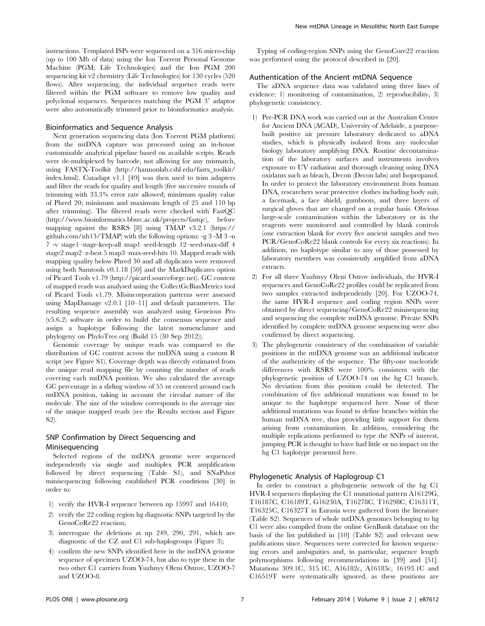instructions. Templated ISPs were sequenced on a 316 micro-chip (up to 100 Mb of data) using the Ion Torrent Personal Genome Machine (PGM; Life Technologies) and the Ion PGM 200 sequencing kit v2 chemistry (Life Technologies) for 130 cycles (520 flows). After sequencing, the individual sequence reads were filtered within the PGM software to remove low quality and polyclonal sequences. Sequences matching the PGM 3' adaptor were also automatically trimmed prior to bioinformatics analysis.

## Bioinformatics and Sequence Analysis

Next generation sequencing data (Ion Torrent PGM platform) from the mtDNA capture was processed using an in-house customizable analytical pipeline based on available scripts. Reads were de-multiplexed by barcode, not allowing for any mismatch, using FASTX-Toolkit (http://hannonlab.cshl.edu/fastx\_toolkit/ index.html). Cutadapt v1.1 [49] was then used to trim adapters and filter the reads for quality and length (five successive rounds of trimming with 33.3% error rate allowed; minimum quality value of Phred 20; minimum and maximum length of 25 and 110 bp after trimming). The filtered reads were checked with FastQC (http://www.bioinformatics.bbsrc.ac.uk/projects/fastqc), before mapping against the RSRS [8] using TMAP v3.2.1 (https:// github.com/nh13/TMAP) with the following options: -g 3 -M 3 -n 7 -v stage1–stage-keep-all map1–seed-length 12–seed-max-diff 4 stage2 map2–z-best 5 map3–max-seed-hits 10. Mapped reads with mapping quality below Phred 30 and all duplicates were removed using both Samtools v0.1.18 [50] and the MarkDuplicates option of Picard Tools v1.79 (http://picard.sourceforge.net). GC content of mapped reads was analysed using the CollectGcBiasMetrics tool of Picard Tools v1.79. Misincorporation patterns were assessed using MapDamage v2.0.1 [10–11] and default parameters. The resulting sequence assembly was analyzed using Geneious Pro (v5.6.2) software in order to build the consensus sequence and assign a haplotype following the latest nomenclature and phylogeny on PhyloTree.org (Build 15 (30 Sep 2012)).

Genomic coverage by unique reads was compared to the distribution of GC content across the mtDNA using a custom R script (see Figure S1). Coverage depth was directly estimated from the unique read mapping file by counting the number of reads covering each mtDNA position. We also calculated the average GC percentage in a sliding window of 55 nt centered around each mtDNA position, taking in account the circular nature of the molecule. The size of the window corresponds to the average size of the unique mapped reads (see the Results section and Figure S2).

# SNP Confirmation by Direct Sequencing and Minisequencing

Selected regions of the mtDNA genome were sequenced independently via single and multiplex PCR amplification followed by direct sequencing (Table S1), and SNaPshot minisequencing following established PCR conditions [30] in order to:

- 1) verify the HVR-I sequence between np 15997 and 16410;
- 2) verify the 22 coding region hg diagnostic SNPs targeted by the GenoCoRe22 reaction;
- 3) interrogate the deletions at np 249, 290, 291, which are diagnostic of the CZ and C1 sub-haplogroups (Figure 3);
- 4) confirm the new SNPs identified here in the mtDNA genome sequence of specimen UZOO-74, but also to type these in the two other C1 carriers from Yuzhnyy Oleni Ostrov, UZOO-7 and UZOO-8.

Typing of coding-region SNPs using the GenoCore22 reaction was performed using the protocol described in [20].

#### Authentication of the Ancient mtDNA Sequence

The aDNA sequence data was validated using three lines of evidence: 1) monitoring of contamination, 2) reproducibility, 3) phylogenetic consistency.

- 1) Pre-PCR DNA work was carried out at the Australian Centre for Ancient DNA (ACAD), University of Adelaide, a purposebuilt positive air pressure laboratory dedicated to aDNA studies, which is physically isolated from any molecular biology laboratory amplifying DNA. Routine decontamination of the laboratory surfaces and instruments involves exposure to UV radiation and thorough cleaning using DNA oxidants such as bleach, Decon (Decon labs) and Isopropanol. In order to protect the laboratory environment from human DNA, researchers wear protective clothes including body suit, a facemask, a face shield, gumboots, and three layers of surgical gloves that are changed on a regular basis. Obvious large-scale contamination within the laboratory or in the reagents were monitored and controlled by blank controls (one extraction blank for every five ancient samples and two PCR/GenoCoRe22 blank controls for every six reactions). In addition, no haplotype similar to any of those possessed by laboratory members was consistently amplified from aDNA extracts.
- 2) For all three Yuzhnyy Oleni Ostrov individuals, the HVR-I sequences and GenoCoRe22 profiles could be replicated from two samples extracted independently [20]. For UZOO-74, the same HVR-I sequence and coding region SNPs were obtained by direct sequencing/GenoCoRe22 minisequencing and sequencing the complete mtDNA genome. Private SNPs identified by complete mtDNA genome sequencing were also confirmed by direct sequencing.
- 3) The phylogenetic consistency of the combination of variable positions in the mtDNA genome was an additional indicator of the authenticity of the sequence. The fifty-one nucleotide differences with RSRS were 100% consistent with the phylogenetic position of UZOO-74 on the hg C1 branch. No deviation from this position could be detected. The combination of five additional mutations was found to be unique to the haplotype sequenced here. None of these additional mutations was found to define branches within the human mtDNA tree, thus providing little support for them arising from contamination. In addition, considering the multiple replications performed to type the SNPs of interest, jumping PCR is thought to have had little or no impact on the hg C1 haplotype presented here.

# Phylogenetic Analysis of Haplogroup C1

In order to construct a phylogenetic network of the hg C1 HVR-I sequences displaying the C1 mutational pattern A16129G, T16187C, C16189T, G16230A, T16278C, T16298C, C16311T, T16325C, C16327T in Eurasia were gathered from the literature (Table S2). Sequences of whole mtDNA genomes belonging to hg C1 were also compiled from the online GenBank database on the basis of the list published in [10] (Table S2) and relevant new publications since. Sequences were corrected for known sequencing errors and ambiguities and, in particular, sequence length polymorphisms following recommendations in [39] and [51]. Mutations 309.1C, 315.1C, A16182c, A16183c, 16193.1C and C16519T were systematically ignored, as these positions are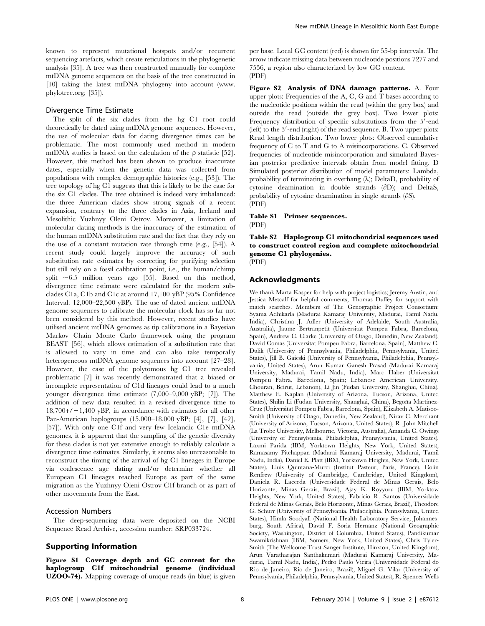known to represent mutational hotspots and/or recurrent sequencing artefacts, which create reticulations in the phylogenetic analysis [35]. A tree was then constructed manually for complete mtDNA genome sequences on the basis of the tree constructed in [10] taking the latest mtDNA phylogeny into account (www. phylotree.org; [35]).

## Divergence Time Estimate

The split of the six clades from the hg C1 root could theoretically be dated using mtDNA genome sequences. However, the use of molecular data for dating divergence times can be problematic. The most commonly used method in modern mtDNA studies is based on the calculation of the  $\rho$  statistic [52]. However, this method has been shown to produce inaccurate dates, especially when the genetic data was collected from populations with complex demographic histories (e.g., [53]). The tree topology of hg C1 suggests that this is likely to be the case for the six C1 clades. The tree obtained is indeed very imbalanced: the three American clades show strong signals of a recent expansion, contrary to the three clades in Asia, Iceland and Mesolithic Yuzhnyy Oleni Ostrov. Moreover, a limitation of molecular dating methods is the inaccuracy of the estimation of the human mtDNA substitution rate and the fact that they rely on the use of a constant mutation rate through time (e.g., [54]). A recent study could largely improve the accuracy of such substitution rate estimates by correcting for purifying selection but still rely on a fossil calibration point, i.e., the human/chimp split  $\sim 6.5$  million years ago [55]. Based on this method, divergence time estimate were calculated for the modern subclades C1a, C1b and C1c at around 17,100 yBP (95% Confidence Interval: 12,000–22,500 yBP). The use of dated ancient mtDNA genome sequences to calibrate the molecular clock has so far not been considered by this method. However, recent studies have utilised ancient mtDNA genomes as tip calibrations in a Bayesian Markov Chain Monte Carlo framework using the program BEAST [56], which allows estimation of a substitution rate that is allowed to vary in time and can also take temporally heterogeneous mtDNA genome sequences into account [27–28]. However, the case of the polytomous hg C1 tree revealed problematic [7] it was recently demonstrated that a biased or incomplete representation of C1d lineages could lead to a much younger divergence time estimate (7,000–9,000 yBP; [7]). The addition of new data resulted in a revised divergence time to  $18,700+/-1,400$  yBP, in accordance with estimates for all other Pan-American haplogroups (15,000–18,000 yBP; [4], [7], [42], [57]). With only one C1f and very few Icelandic C1e mtDNA genomes, it is apparent that the sampling of the genetic diversity for these clades is not yet extensive enough to reliably calculate a divergence time estimates. Similarly, it seems also unreasonable to reconstruct the timing of the arrival of hg C1 lineages in Europe via coalescence age dating and/or determine whether all European C1 lineages reached Europe as part of the same migration as the Yuzhnyy Oleni Ostrov C1f branch or as part of other movements from the East.

## Accession Numbers

The deep-sequencing data were deposited on the NCBI Sequence Read Archive, accession number: SRP033724.

## Supporting Information

Figure S1 Coverage depth and GC content for the haplogroup C1f mitochondrial genome (individual UZOO-74). Mapping coverage of unique reads (in blue) is given per base. Local GC content (red) is shown for 55-bp intervals. The arrow indicate missing data between nucleotide positions 7277 and 7556, a region also characterized by low GC content. (PDF)

Figure S2 Analysis of DNA damage patterns. A. Four upper plots: Frequencies of the A, C, G and T bases according to the nucleotide positions within the read (within the grey box) and outside the read (outside the grey box). Two lower plots: Frequency distribution of specific substitutions from the 5'-end  $(\text{left})$  to the 3'-end (right) of the read sequence. B. Two upper plots: Read length distribution. Two lower plots: Observed cumulative frequency of C to T and G to A misincorporations. C. Observed frequencies of nucleotide misincorporation and simulated Bayesian posterior predictive intervals obtain from model fitting. D Simulated posterior distribution of model parameters: Lambda, probability of terminating in overhang  $(\lambda)$ ; DeltaD, probability of cytosine deamination in double strands  $(\partial D)$ ; and DeltaS, probability of cytosine deamination in single strands  $(\partial S)$ . (PDF)

Table S1 Primer sequences. (PDF)

Table S2 Haplogroup C1 mitochondrial sequences used to construct control region and complete mitochondrial genome C1 phylogenies.

# (PDF)

## Acknowledgments

We thank Marta Kasper for help with project logistics; Jeremy Austin, and Jessica Metcalf for helpful comments; Thomas Duffey for support with match searches. Members of The Genographic Project Consortium: Syama Adhikarla (Madurai Kamaraj University, Madurai, Tamil Nadu, India), Christina J. Adler (University of Adelaide, South Australia, Australia), Jaume Bertranpetit (Universitat Pompeu Fabra, Barcelona, Spain), Andrew C. Clarke (University of Otago, Dunedin, New Zealand), David Comas (Universitat Pompeu Fabra, Barcelona, Spain), Matthew C. Dulik (University of Pennsylvania, Philadelphia, Pennsylvania, United States), Jill B. Gaieski (University of Pennsylvania, Philadelphia, Pennsylvania, United States), Arun Kumar Ganesh Prasad (Madurai Kamaraj University, Madurai, Tamil Nadu, India), Marc Haber (Universitat Pompeu Fabra, Barcelona, Spain; Lebanese American University, Chouran, Beirut, Lebanon), Li Jin (Fudan University, Shanghai, China), Matthew E. Kaplan (University of Arizona, Tucson, Arizona, United States), Shilin Li (Fudan University, Shanghai, China), Begoña Martínez-Cruz (Universitat Pompeu Fabra, Barcelona, Spain), Elizabeth A. Matisoo-Smith (University of Otago, Dunedin, New Zealand), Nirav C. Merchant (University of Arizona, Tucson, Arizona, United States), R. John Mitchell (La Trobe University, Melbourne, Victoria, Australia), Amanda C. Owings (University of Pennsylvania, Philadelphia, Pennsylvania, United States), Laxmi Parida (IBM, Yorktown Heights, New York, United States), Ramasamy Pitchappan (Madurai Kamaraj University, Madurai, Tamil Nadu, India), Daniel E. Platt (IBM, Yorktown Heights, New York, United States), Lluis Quintana-Murci (Institut Pasteur, Paris, France), Colin Renfrew (University of Cambridge, Cambridge, United Kingdom), Daniela R. Lacerda (Universidade Federal de Minas Gerais, Belo Horizonte, Minas Gerais, Brazil), Ajay K. Royyuru (IBM, Yorktow Heights, New York, United States), Fabricio R. Santos (Universidade Federal de Minas Gerais, Belo Horizonte, Minas Gerais, Brazil), Theodore G. Schurr (University of Pennsylvania, Philadelphia, Pennsylvania, United States), Himla Soodyall (National Health Laboratory Service, Johannesburg, South Africa), David F. Soria Hernanz (National Geographic Society, Washington, District of Columbia, United States), Pandikumar Swamikrishnan (IBM, Somers, New York, United States), Chris Tyler-Smith (The Wellcome Trust Sanger Institute, Hinxton, United Kingdom), Arun Varatharajan Santhakumari (Madurai Kamaraj University, Madurai, Tamil Nadu, India), Pedro Paulo Vieira (Universidade Federal do Rio de Janeiro, Rio de Janeiro, Brazil), Miguel G. Vilar (University of Pennsylvania, Philadelphia, Pennsylvania, United States), R. Spencer Wells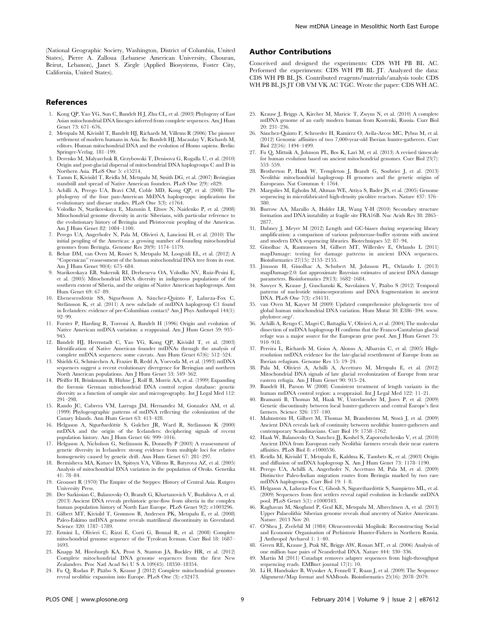(National Geographic Society, Washington, District of Columbia, United States), Pierre A. Zalloua (Lebanese American University, Chouran, Beirut, Lebanon), Janet S. Ziegle (Applied Biosystems, Foster City, California, United States).

# References

- 1. Kong QP, Yao YG, Sun C, Bandelt H J, Zhu CL, et al. (2003) Phylogeny of East Asian mitochondrial DNA lineages inferred from complete sequences. Am J Hum Genet 73: 671–676.
- 2. Metspalu M, Kivisild T, Bandelt HJ, Richards M, Villems R (2006) The pioneer settlement of modern humans in Asia. In: Bandelt HJ, Macaulay V, Richards M, editors. Human mitochondrial DNA and the evolution of Homo sapiens. Berlin: Springer-Verlag. 181–199.
- 3. Derenko M, Malyarchuk B, Grzybowski T, Denisova G, Rogalla U, et al. (2010) Origin and post-glacial dispersal of mitochondrial DNA haplogroups C and D in Northern Asia. PLoS One 5: e15214.
- 4. Tamm E, Kivisild T, Reidla M, Metspalu M, Smith DG, et al. (2007) Beringian standstill and spread of Native American founders. PLoS One 2(9): e829.
- 5. Achilli A, Perego UA, Bravi CM, Coble MD, Kong QP, et al. (2008) The phylogeny of the four pan-American MtDNA haplogroups: implications for evolutionary and disease studies. PLoS One 3(3): e1764.
- 6. Volodko N, Starikovskaya E, Mazunin I, Eltsov N, Naidenko P, et al. (2008) Mitochondrial genome diversity in arctic Siberians, with particular reference to the evolutionary history of Beringia and Pleistocenic peopling of the Americas. Am J Hum Genet 82: 1084–1100.
- 7. Perego UA, Angerhofer N, Pala M, Olivieri A, Lancioni H, et al. (2010) The initial peopling of the Americas: a growing number of founding mitochondrial genomes from Beringia. Genome Res 20(9): 1174–1179.
- 8. Behar DM, van Oven M, Rosset S, Metspalu M, Loogväli EL, et al. (2012) A ''Copernican'' reassessment of the human mitochondrial DNA tree from its root. Am J Hum Genet 90(4): 675–684.
- 9. Starikovskaya EB, Sukernik RI, Derbeneva OA, Volodko NV, Ruiz-Pesini E, et al. (2005) Mitochondrial DNA diversity in indigenous populations of the southern extent of Siberia, and the origins of Native American haplogroups. Ann Hum Genet 69: 67–89.
- 10. Ebenesersdóttir SS, Sigurðsson A, Sánchez-Quinto F, Lalueza-Fox C, Stefánsson K, et al. (2011) A new subclade of mtDNA haplogroup C1 found in Icelanders: evidence of pre-Columbian contact? Am J Phys Anthropol 144(1): 92–99.
- 11. Forster P, Harding R, Torroni A, Bandelt H (1996) Origin and evolution of Native American mtDNA variation: a reappraisal. Am J Hum Genet 59: 935– 945.
- 12. Bandelt HJ, Herrnstadt C, Yao YG, Kong QP, Kivisild T, et al. (2003) Identification of Native American founder mtDNAs through the analysis of complete mtDNA sequences: some caveats. Ann Hum Genet 67(6): 512–524.
- 13. Shields G, Schmiechen A, Frazier B, Redd A, Voevoda M, et al. (1993) mtDNA sequences suggest a recent evolutionary divergence for Beringian and northern North American populations. Am J Hum Genet 53: 549–562.
- 14. Pfeiffer H, Brinkmann B, Hühne J, Rolf B, Morris AA, et al. (1999) Expanding the forensic German mitochondrial DNA control region database: genetic diversity as a function of sample size and microgeography. Int J Legal Med 112: 291–298.
- 15. Rando JC, Cabrera VM, Larruga JM, Hernandez M, Gonzalez AM, et al. (1999) Phylogeographic patterns of mtDNA reflecting the colonization of the Canary Islands. Ann Hum Genet 63: 413–428.
- 16. Helgason A, Sigurðardóttir S, Gulcher JR, Ward R, Stefánsson K (2000) mtDNA and the origin of the Icelanders: deciphering signals of recent population history. Am J Hum Genet 66: 999–1016.
- 17. Helgason A, Nicholson G, Stefánsson K, Donnelly P (2003) A reassessment of genetic diversity in Icelanders: strong evidence from multiple loci for relative homogeneity caused by genetic drift. Ann Hum Genet 67: 281–297.
- 18. Bermisheva MA, Kutuev IA, Spitsyn VA, Villems R, Batyrova AZ, et al. (2005) Analysis of mitochondrial DNA variation in the population of Oroks. Genetika 41: 78–84.
- 19. Grousset R (1970) The Empire of the Steppes: History of Central Asia. Rutgers University Press.
- 20. Der Sarkissian C, Balanovsky O, Brandt G, Khartanovich V, Buzhilova A, et al. (2013) Ancient DNA reveals prehistoric gene-flow from siberia in the complex human population history of North East Europe. PLoS Genet 9(2): e1003296.
- 21. Gilbert MT, Kivisild T, Grønnow B, Andersen PK, Metspalu E, et al. (2008) Paleo-Eskimo mtDNA genome reveals matrilineal discontinuity in Greenland. Science 320: 1787–1789.
- 22. Ermini L, Olivieri C, Rizzi E, Corti G, Bonnal R, et al. (2008) Complete mitochondrial genome sequence of the Tyrolean Iceman. Curr Biol 18: 1687– 1693.
- 23. Knapp M, Horsburgh KA, Prost S, Stanton JA, Buckley HR, et al. (2012) Complete mitochondrial DNA genome sequences from the first New Zealanders. Proc Natl Acad Sci U S A 109(45): 18350–18354.
- 24. Fu Q, Rudan P, Pääbo S, Krause J (2012) Complete mitochondrial genomes reveal neolithic expansion into Europe. PLoS One (3): e32473.

#### Author Contributions

Conceived and designed the experiments: CDS WH PB BL AC. Performed the experiments: CDS WH PB BL JT. Analyzed the data: CDS WH PB BL JS. Contributed reagents/materials/analysis tools: CDS WH PB BL JS JT OB VM VK AC TGC. Wrote the paper: CDS WH AC.

- 25. Krause J, Briggs A, Kircher M, Maricic T, Zwyns N, et al. (2010) A complete mtDNA genome of an early modern human from Kostenki, Russia. Curr Biol 20: 231–236.
- 26. Sánchez-Quinto F, Schroeder H, Ramirez O, Avila-Arcos MC, Pybus M, et al. (2012) Genomic affinities of two 7,000-year-old Iberian hunter-gatherers. Curr Biol 22(16): 1494–1499.
- 27. Fu Q, Mittnik A, Johnson PL, Bos K, Lari M, et al. (2013) A revised timescale for human evolution based on ancient mitochondrial genomes. Curr Biol 23(7): 553–559.
- 28. Brotherton P, Haak W, Templeton J, Brandt G, Soubrier J, et al. (2013) Neolithic mitochondrial haplogroup H genomes and the genetic origins of Europeans. Nat Commun 4: 1764.
- 29. Margulies M, Egholm M, Altman WE, Attiya S, Bader JS, et al. (2005) Genome sequencing in microfabricated high-density picolitre reactors. Nature 437: 376– 380.
- 30. Burrow AA, Marullo A, Holder LR, Wang Y-H (2010) Secondary structure formation and DNA instability at fragile site FRA16B. Nuc Acids Res 38: 2865– 2877.
- 31. Dabney J, Meyer M (2012) Length and GC-biases during sequencing library amplification: a comparison of various polymerase-buffer systems with ancient and modern DNA sequencing libraries. Biotechniques 52: 87–94.
- 32. Ginolhac A, Rasmussen M, Gilbert MT, Willerslev E, Orlando L (2011) mapDamage: testing for damage patterns in ancient DNA sequences. Bioinformatics 27(15): 2153–2155.
- 33. Jónsson H, Ginolhac A, Schubert M, Johnson PL, Orlando L (2013) mapDamage2.0: fast approximate Bayesian estimates of ancient DNA damage parameters. Bioinformatics 29(13): 1682–1684.
- 34. Sawyer S, Krause J, Guschanski K, Savolainen V, Pääbo S (2012) Temporal patterns of nucleotide misincorporations and DNA fragmentation in ancient DNA. PLoS One 7(3): e34131.
- 35. van Oven M, Kayser M (2009) Updated comprehensive phylogenetic tree of global human mitochondrial DNA variation. Hum Mutat 30: E386–394. www. phylotree.org/.
- 36. Achilli A, Rengo C, Magri C, Battaglia V, Olivieri A, et al. (2004) The molecular dissection of mtDNA haplogroup H confirms that the Franco-Cantabrian glacial refuge was a major source for the European gene pool. Am J Hum Genet 75: 910–918.
- 37. Pereira L, Richards M, Goios A, Alonso A, Albarrán C, et al. (2005) Highresolution mtDNA evidence for the late-glacial resettlement of Europe from an Iberian refugium. Genome Res 15: 19–24.
- 38. Pala M, Olivieri A, Achilli A, Accetturo M, Metspalu E, et al. (2012) Mitochondrial DNA signals of late glacial recolonization of Europe from near eastern refugia. Am J Hum Genet 90: 915–24.
- 39. Bandelt H, Parson W (2008) Consistent treatment of length variants in the human mtDNA control region: a reappraisal. Int J Legal Med 122: 11–21.
- 40. Bramanti B, Thomas M, Haak W, Unterlaender M, Jores P, et al. (2009) Genetic discontinuity between local hunter-gatherers and central Europe's first farmers. Science 326: 137–140.
- 41. Malmström H, Gilbert M, Thomas M, Brandström M, Storå J, et al. (2009) Ancient DNA reveals lack of continuity between neolithic hunter-gatherers and contemporary Scandinavians. Curr Biol 19: 1758–1762.
- 42. Haak W, Balanovsky O, Sanchez JJ, Koshel S, Zaporozhchenko V, et al. (2010) Ancient DNA from European early Neolithic farmers reveals their near eastern affinities. PLoS Biol 8: e1000536.
- 43. Reidla M, Kivisild T, Metspalu E, Kaldma K, Tambets K, et al. (2003) Origin and diffusion of mtDNA haplogroup X. Am J Hum Genet 73: 1178–1190.
- 44. Perego UA, Achilli A, Angerhofer N, Accetturo M, Pala M, et al. (2009) Distinctive Paleo-Indian migration routes from Beringia marked by two rare mtDNA haplogroups. Curr Biol 19: 1–8.
- 45. Helgason A, Lalueza-Fox C, Ghosh S, Sigurethardottir S, Sampietro ML, et al. (2009) Sequences from first settlers reveal rapid evolution in Icelandic mtDNA pool. PLoS Genet 5(1): e1000343.
- 46. Raghavan M, Skoglund P, Graf KE, Metspalu M, Albrechtsen A, et al. (2013) Upper Palaeolithic Siberian genome reveals dual ancestry of Native Americans. Nature. 2013 Nov 20.
- 47. O'Shea J, Zvelebil M (1984) Oleneostrovskii Mogilnik: Reconstructing Social and Economic Organisation of Prehistoric Hunter-Fishers in Northern Russia. J Anthropol Archaeol 1: 1–40.
- 48. Green RE, Krause J, Ptak SE, Briggs AW, Ronan MT, et al. (2006) Analysis of one million base pairs of Neanderthal DNA. Nature 444: 330–336.
- 49. Martin M (2011) Cutadapt removes adapter sequences from high-throughput sequencing reads. EMBnet journal 17(1): 10.
- 50. Li H, Handsaker B, Wysoker A, Fennell T, Ruan J, et al. (2009) The Sequence Alignment/Map format and SAMtools. Bioinformatics 25(16): 2078–2079.